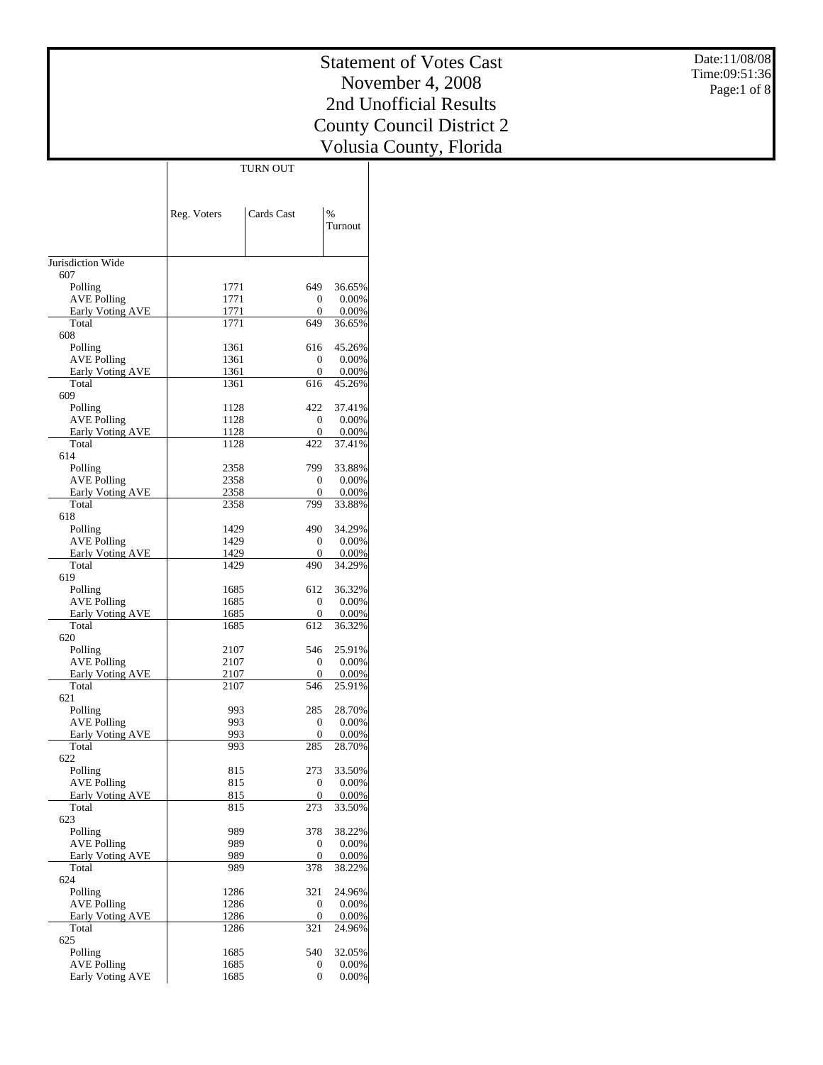Date:11/08/08 Time:09:51:36 Page:1 of 8

|                                        | Reg. Voters  | Cards Cast            | $\%$            |
|----------------------------------------|--------------|-----------------------|-----------------|
|                                        |              |                       | Turnout         |
|                                        |              |                       |                 |
| Jurisdiction Wide                      |              |                       |                 |
| 607                                    |              |                       |                 |
| Polling<br><b>AVE Polling</b>          | 1771<br>1771 | 649<br>0              | 36.65%<br>0.00% |
| Early Voting AVE                       | 1771         | $\theta$              | 0.00%           |
| Total                                  | 1771         | 649                   | 36.65%          |
| 608                                    |              |                       |                 |
| Polling                                | 1361         | 616                   | 45.26%          |
| <b>AVE Polling</b><br>Early Voting AVE | 1361<br>1361 | 0<br>$\boldsymbol{0}$ | 0.00%<br>0.00%  |
| Total                                  | 1361         | 616                   | 45.26%          |
| 609                                    |              |                       |                 |
| Polling                                | 1128         | 422                   | 37.41%          |
| <b>AVE Polling</b>                     | 1128         | 0                     | 0.00%           |
| Early Voting AVE<br>Total              | 1128<br>1128 | 0<br>422              | 0.00%           |
| 614                                    |              |                       | 37.41%          |
| Polling                                | 2358         | 799                   | 33.88%          |
| <b>AVE Polling</b>                     | 2358         | 0                     | 0.00%           |
| Early Voting AVE                       | 2358         | 0                     | 0.00%           |
| Total                                  | 2358         | 799                   | 33.88%          |
| 618<br>Polling                         | 1429         | 490                   | 34.29%          |
| <b>AVE Polling</b>                     | 1429         | 0                     | 0.00%           |
| <b>Early Voting AVE</b>                | 1429         | 0                     | 0.00%           |
| Total                                  | 1429         | 490                   | 34.29%          |
| 619                                    |              |                       |                 |
| Polling<br><b>AVE Polling</b>          | 1685<br>1685 | 612<br>0              | 36.32%<br>0.00% |
| Early Voting AVE                       | 1685         | $\overline{0}$        | 0.00%           |
| Total                                  | 1685         | 612                   | 36.32%          |
| 620                                    |              |                       |                 |
| Polling                                | 2107         | 546                   | 25.91%          |
| <b>AVE Polling</b>                     | 2107<br>2107 | 0<br>0                | 0.00%           |
| Early Voting AVE<br>Total              | 2107         | 546                   | 0.00%<br>25.91% |
| 621                                    |              |                       |                 |
| Polling                                | 993          | 285                   | 28.70%          |
| <b>AVE Polling</b>                     | 993          | 0                     | 0.00%           |
| <b>Early Voting AVE</b>                | 993          | 0                     | 0.00%           |
| Total<br>622                           | 993          | 285                   | 28.70%          |
| Polling                                | 815          | 273                   | 33.50%          |
| <b>AVE Polling</b>                     | 815          | 0                     | 0.00%           |
| Early Voting AVE                       | 815          | 0                     | 0.00%           |
| Total                                  | 815          | 273                   | 33.50%          |
| 623<br>Polling                         | 989          | 378                   | 38.22%          |
| <b>AVE Polling</b>                     | 989          | 0                     | 0.00%           |
| Early Voting AVE                       | 989          | 0                     | 0.00%           |
| Total                                  | 989          | 378                   | 38.22%          |
| 624                                    |              |                       |                 |
| Polling<br><b>AVE Polling</b>          | 1286<br>1286 | 321<br>0              | 24.96%<br>0.00% |
| Early Voting AVE                       | 1286         | $\boldsymbol{0}$      | 0.00%           |
| Total                                  | 1286         | 321                   | 24.96%          |
| 625                                    |              |                       |                 |
| Polling                                | 1685         | 540                   | 32.05%          |
| <b>AVE Polling</b>                     | 1685         | 0                     | 0.00%           |
| Early Voting AVE                       | 1685         | $\overline{0}$        | $0.00\%$        |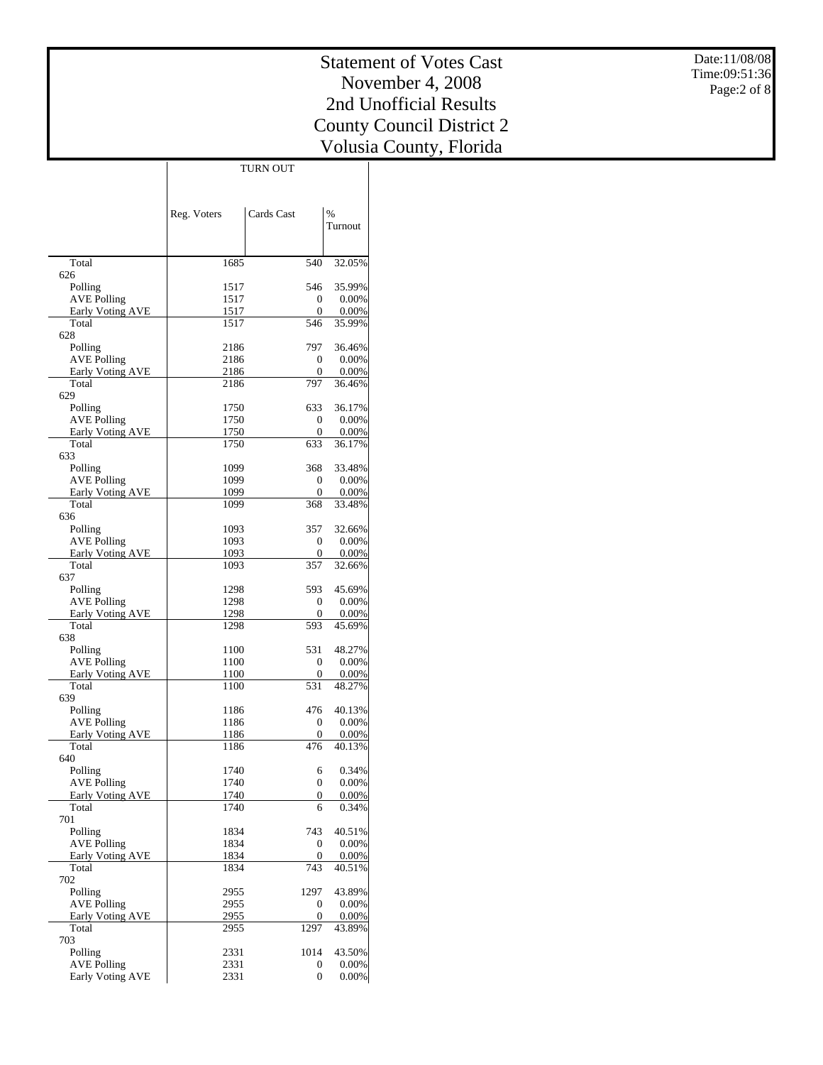Date:11/08/08 Time:09:51:36 Page:2 of 8

| RN OU | JΤ |
|-------|----|

|                                        | Reg. Voters  | Cards Cast          | $\%$<br>Turnout      |
|----------------------------------------|--------------|---------------------|----------------------|
|                                        |              |                     |                      |
| Total                                  | 1685         | 540                 | 32.05%               |
| 626                                    |              |                     |                      |
| Polling                                | 1517         | 546                 | 35.99%               |
| <b>AVE Polling</b><br>Early Voting AVE | 1517<br>1517 | 0<br>0              | 0.00%<br>0.00%       |
| Total                                  | 1517         | 546                 | 35.99%               |
| 628                                    |              |                     |                      |
| Polling                                | 2186         | 797                 | 36.46%               |
| <b>AVE Polling</b><br>Early Voting AVE | 2186<br>2186 | 0<br>0              | 0.00%<br>0.00%       |
| Total                                  | 2186         | 797                 | 36.46%               |
| 629                                    |              |                     |                      |
| Polling                                | 1750         | 633                 | 36.17%               |
| <b>AVE Polling</b>                     | 1750<br>1750 | $\mathbf{0}$<br>0   | 0.00%<br>0.00%       |
| Early Voting AVE<br>Total              | 1750         | 633                 | 36.17%               |
| 633                                    |              |                     |                      |
| Polling                                | 1099         | 368                 | 33.48%               |
| <b>AVE Polling</b>                     | 1099         | 0                   | 0.00%                |
| Early Voting AVE<br>Total              | 1099<br>1099 | 0<br>368            | 0.00%<br>33.48%      |
| 636                                    |              |                     |                      |
| Polling                                | 1093         | 357                 | 32.66%               |
| <b>AVE Polling</b>                     | 1093         | 0                   | 0.00%                |
| Early Voting AVE                       | 1093         | 0                   | 0.00%                |
| Total<br>637                           | 1093         | 357                 | 32.66%               |
| Polling                                | 1298         | 593                 | 45.69%               |
| <b>AVE Polling</b>                     | 1298         | 0                   | 0.00%                |
| Early Voting AVE                       | 1298         | 0                   | 0.00%                |
| Total<br>638                           | 1298         | 593                 | 45.69%               |
| Polling                                | 1100         | 531                 | 48.27%               |
| <b>AVE Polling</b>                     | 1100         | 0                   | 0.00%                |
| Early Voting AVE                       | 1100         | 0                   | 0.00%                |
| Total<br>639                           | 1100         | 531                 | 48.27%               |
| Polling                                | 1186         | 476                 | 40.13%               |
| <b>AVE Polling</b>                     | 1186         | 0                   | 0.00%                |
| <b>Early Voting AVE</b>                | 1186         | 0                   | 0.00%                |
| Total                                  | 1186         | 476                 | 40.13%               |
| 640<br>Polling                         | 1740         | 6                   | 0.34%                |
| <b>AVE Polling</b>                     | 1740         | $\overline{0}$      | 0.00%                |
| <b>Early Voting AVE</b>                | 1740         | 0                   | $0.00\%$             |
| Total                                  | 1740         | 6                   | 0.34%                |
| 701                                    |              |                     |                      |
| Polling<br><b>AVE Polling</b>          | 1834<br>1834 | 743<br>0            | 40.51%<br>$0.00\%$   |
| Early Voting AVE                       | 1834         | 0                   | 0.00%                |
| Total                                  | 1834         | 743                 | 40.51%               |
| 702                                    |              |                     |                      |
| Polling                                | 2955         | 1297                | 43.89%               |
| <b>AVE Polling</b><br>Early Voting AVE | 2955<br>2955 | 0<br>0              | $0.00\%$<br>$0.00\%$ |
| Total                                  | 2955         | 1297                | 43.89%               |
| 703                                    |              |                     |                      |
| Polling                                | 2331         | 1014                | 43.50%               |
| <b>AVE Polling</b>                     | 2331         | 0<br>$\overline{0}$ | $0.00\%$<br>$0.00\%$ |
| Early Voting AVE                       | 2331         |                     |                      |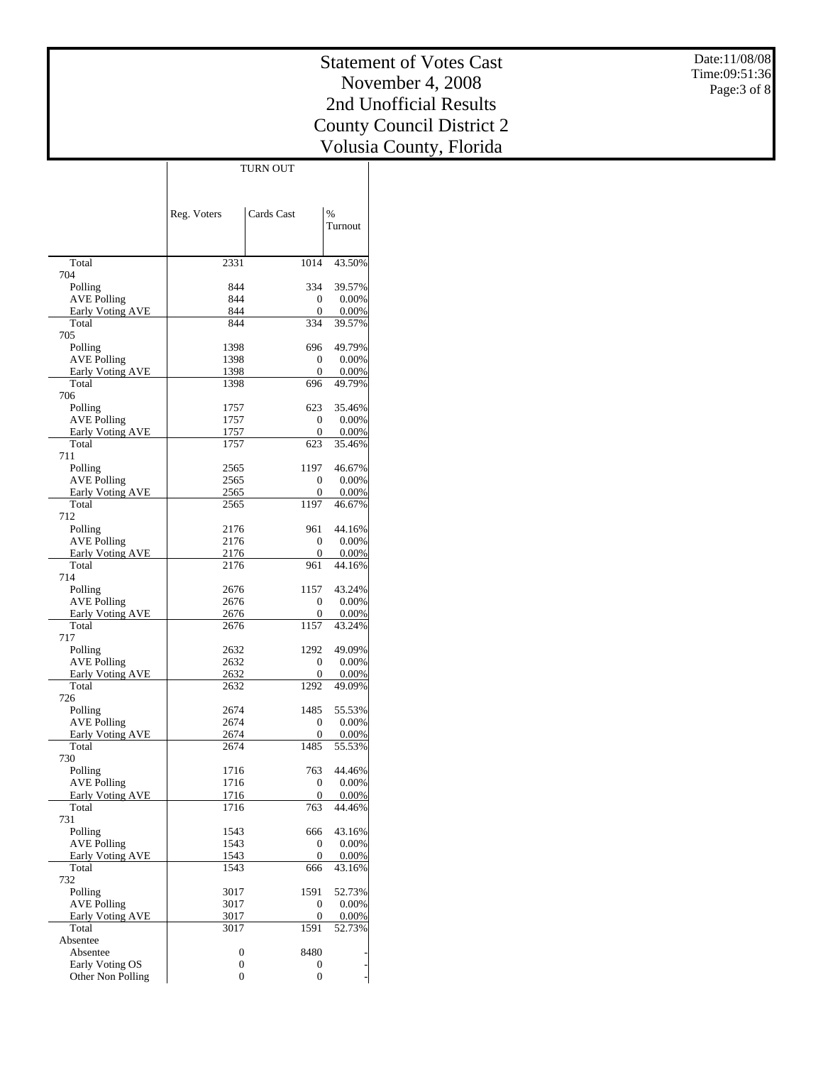Date:11/08/08 Time:09:51:36 Page:3 of 8

## Statement of Votes Cast November 4, 2008 2nd Unofficial Results County Council District 2 Volusia County, Florida

|                                               | Reg. Voters  | Cards Cast           | $\%$            |
|-----------------------------------------------|--------------|----------------------|-----------------|
|                                               |              |                      | Turnout         |
|                                               |              |                      |                 |
| Total<br>704                                  | 2331         | 1014                 | 43.50%          |
| Polling                                       | 844          | 334                  | 39.57%          |
| <b>AVE Polling</b>                            | 844          | $\mathbf{0}$         | 0.00%           |
| <b>Early Voting AVE</b>                       | 844          | $\boldsymbol{0}$     | 0.00%           |
| Total                                         | 844          | 334                  | 39.57%          |
| 705<br>Polling                                | 1398         | 696                  | 49.79%          |
| <b>AVE Polling</b>                            | 1398         | $\mathbf{0}$         | 0.00%           |
| <b>Early Voting AVE</b>                       | 1398         | 0                    | 0.00%           |
| Total                                         | 1398         | 696                  | 49.79%          |
| 706                                           | 1757         | 623                  | 35.46%          |
| Polling<br><b>AVE Polling</b>                 | 1757         | $\mathbf{0}$         | 0.00%           |
| <b>Early Voting AVE</b>                       | 1757         | $\mathbf{0}$         | 0.00%           |
| Total                                         | 1757         | 623                  | 35.46%          |
| 711                                           |              |                      |                 |
| Polling<br><b>AVE Polling</b>                 | 2565<br>2565 | 1197<br>$\mathbf{0}$ | 46.67%<br>0.00% |
| Early Voting AVE                              | 2565         | $\mathbf{0}$         | 0.00%           |
| Total                                         | 2565         | 1197                 | 46.67%          |
| 712                                           |              |                      |                 |
| Polling                                       | 2176         | 961                  | 44.16%          |
| <b>AVE Polling</b><br><b>Early Voting AVE</b> | 2176<br>2176 | 0<br>$\mathbf{0}$    | 0.00%<br>0.00%  |
| Total                                         | 2176         | 961                  | 44.16%          |
| 714                                           |              |                      |                 |
| Polling                                       | 2676         | 1157                 | 43.24%          |
| <b>AVE Polling</b>                            | 2676         | $\mathbf{0}$         | 0.00%           |
| Early Voting AVE<br>Total                     | 2676<br>2676 | 0<br>1157            | 0.00%<br>43.24% |
| 717                                           |              |                      |                 |
| Polling                                       | 2632         | 1292                 | 49.09%          |
| <b>AVE Polling</b>                            | 2632         | $\boldsymbol{0}$     | 0.00%           |
| <b>Early Voting AVE</b><br>Total              | 2632<br>2632 | 0<br>1292            | 0.00%<br>49.09% |
| 726                                           |              |                      |                 |
| Polling                                       | 2674         | 1485                 | 55.53%          |
| <b>AVE Polling</b>                            | 2674         | 0                    | 0.00%           |
| <b>Early Voting AVE</b>                       | 2674         | $\mathbf{0}$<br>1485 | 0.00%           |
| Total<br>730                                  | 2674         |                      | 55.53%          |
| Polling                                       | 1716         | 763                  | 44.46%          |
| <b>AVE Polling</b>                            | 1716         | 0                    | 0.00%           |
| <b>Early Voting AVE</b>                       | 1716         | 0                    | 0.00%           |
| Total<br>731                                  | 1716         | 763                  | 44.46%          |
| Polling                                       | 1543         | 666                  | 43.16%          |
| <b>AVE Polling</b>                            | 1543         | 0                    | 0.00%           |
| Early Voting AVE                              | 1543         | 0                    | 0.00%           |
| Total                                         | 1543         | 666                  | 43.16%          |
| 732<br>Polling                                | 3017         | 1591                 | 52.73%          |
| <b>AVE Polling</b>                            | 3017         | 0                    | 0.00%           |
| <b>Early Voting AVE</b>                       | 3017         | $\boldsymbol{0}$     | 0.00%           |
| Total                                         | 3017         | 1591                 | 52.73%          |
| Absentee                                      |              |                      |                 |
| Absentee<br>Early Voting OS                   | 0<br>0       | 8480<br>0            |                 |
| Other Non Polling                             | 0            | 0                    | ÷               |
|                                               |              |                      |                 |

TURN OUT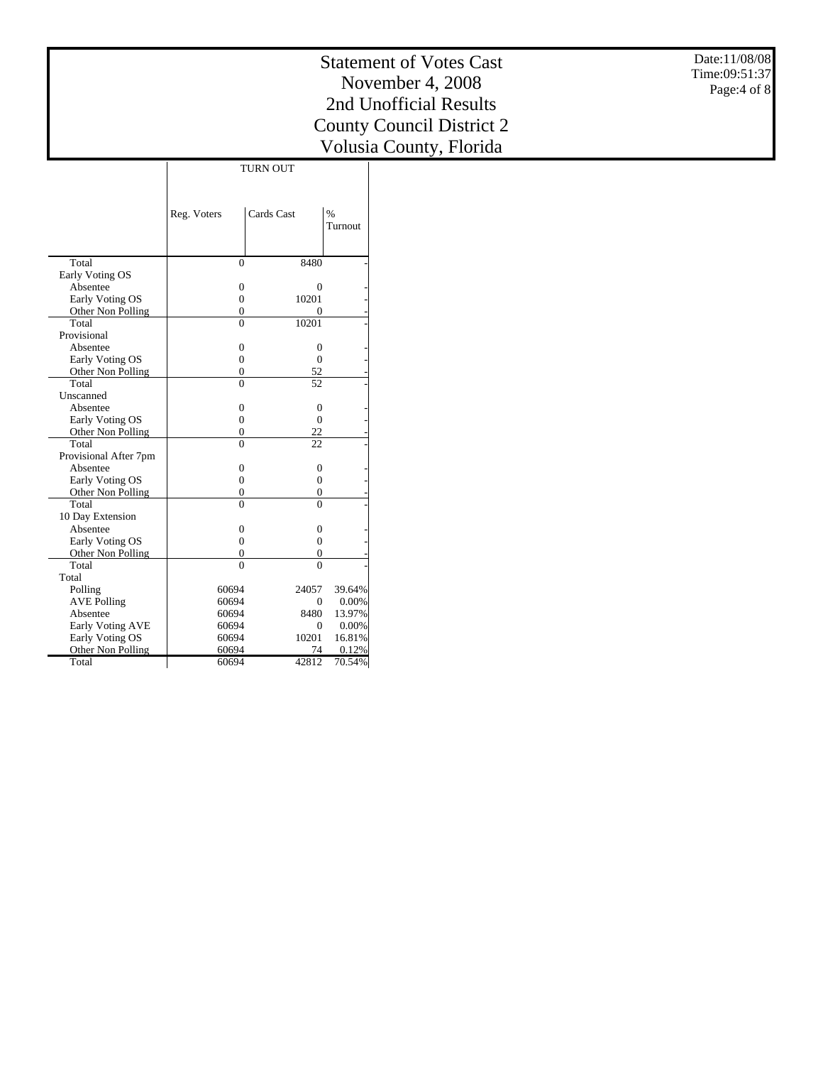Date:11/08/08 Time:09:51:37 Page:4 of 8

|                               | Reg. Voters    | Cards Cast     | %<br>Turnout    |
|-------------------------------|----------------|----------------|-----------------|
| Total                         | $\theta$       | 8480           |                 |
| Early Voting OS               |                |                |                 |
| Absentee                      | 0              | 0              |                 |
| Early Voting OS               | $\overline{0}$ | 10201          |                 |
| Other Non Polling             | 0              | 0              |                 |
| Total                         | $\theta$       | 10201          |                 |
| Provisional                   |                |                |                 |
| Absentee                      | $\overline{0}$ | $\overline{0}$ |                 |
| Early Voting OS               | $\overline{0}$ | $\theta$       |                 |
| Other Non Polling             | 0              | 52             |                 |
| Total                         | $\Omega$       | 52             |                 |
| Unscanned                     |                |                |                 |
| Absentee                      | 0              | 0              |                 |
| Early Voting OS               | $\overline{0}$ | $\overline{0}$ |                 |
| Other Non Polling             | 0              | 22             |                 |
| Total                         | $\theta$       | 22             |                 |
| Provisional After 7pm         |                |                |                 |
| Absentee                      | $\overline{0}$ | $\overline{0}$ |                 |
| Early Voting OS               | $\theta$       | $\overline{0}$ |                 |
| Other Non Polling             | 0              | $\overline{0}$ |                 |
| Total                         | $\theta$       | $\theta$       |                 |
| 10 Day Extension              |                |                |                 |
| Absentee                      | 0              | $\Omega$       |                 |
| Early Voting OS               | $\theta$       | $\theta$       |                 |
| Other Non Polling<br>Total    | 0              | $\overline{0}$ |                 |
| Total                         | $\Omega$       | $\Omega$       |                 |
|                               |                | 24057          |                 |
| Polling<br><b>AVE Polling</b> | 60694<br>60694 | $\mathbf{0}$   | 39.64%<br>0.00% |
| Absentee                      | 60694          | 8480           | 13.97%          |
| <b>Early Voting AVE</b>       | 60694          | $\Omega$       | 0.00%           |
| Early Voting OS               | 60694          | 10201          | 16.81%          |
| Other Non Polling             | 60694          | 74             | 0.12%           |
| Total                         | 60694          | 42812          | 70.54%          |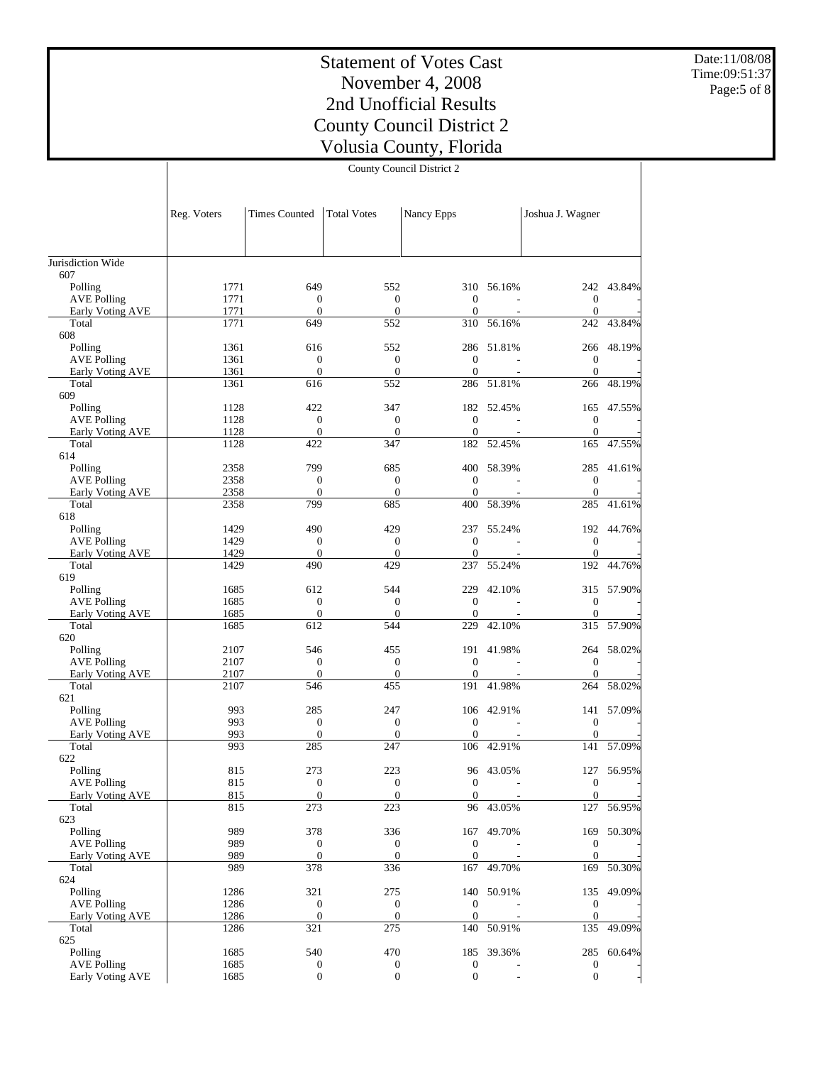Date:11/08/08 Time:09:51:37 Page:5 of 8

# Statement of Votes Cast November 4, 2008 2nd Unofficial Results County Council District 2 Volusia County, Florida

County Council District 2

|                                        | Reg. Voters  | <b>Times Counted</b>                 | <b>Total Votes</b>      | Nancy Epps              |                             | Joshua J. Wagner               |            |
|----------------------------------------|--------------|--------------------------------------|-------------------------|-------------------------|-----------------------------|--------------------------------|------------|
|                                        |              |                                      |                         |                         |                             |                                |            |
|                                        |              |                                      |                         |                         |                             |                                |            |
| Jurisdiction Wide                      |              |                                      |                         |                         |                             |                                |            |
| 607                                    |              |                                      |                         |                         |                             |                                |            |
| Polling                                | 1771         | 649                                  | 552                     |                         | 310 56.16%                  |                                | 242 43.84% |
| <b>AVE Polling</b>                     | 1771         | $\mathbf{0}$                         | $\boldsymbol{0}$        | $\theta$                |                             | $\boldsymbol{0}$               |            |
| Early Voting AVE<br>Total              | 1771<br>1771 | $\mathbf{0}$<br>649                  | $\mathbf{0}$<br>552     | $\theta$<br>310         | 56.16%                      | $\mathbf{0}$<br>242            | 43.84%     |
| 608                                    |              |                                      |                         |                         |                             |                                |            |
| Polling                                | 1361         | 616                                  | 552                     |                         | 286 51.81%                  | 266                            | 48.19%     |
| <b>AVE Polling</b>                     | 1361         | $\mathbf{0}$                         | $\mathbf{0}$            | $\theta$                |                             | $\boldsymbol{0}$               |            |
| Early Voting AVE                       | 1361         | $\mathbf{0}$                         | $\boldsymbol{0}$        | $\overline{0}$          |                             | $\theta$                       |            |
| Total                                  | 1361         | 616                                  | 552                     | 286                     | 51.81%                      | 266                            | 48.19%     |
| 609                                    |              |                                      |                         |                         |                             |                                |            |
| Polling                                | 1128<br>1128 | 422                                  | 347<br>$\mathbf{0}$     | $\theta$                | 182 52.45%                  | 165                            | 47.55%     |
| <b>AVE Polling</b><br>Early Voting AVE | 1128         | $\boldsymbol{0}$<br>$\boldsymbol{0}$ | $\mathbf{0}$            | $\theta$                |                             | $\mathbf{0}$<br>$\overline{0}$ |            |
| Total                                  | 1128         | 422                                  | 347                     | 182                     | 52.45%                      | 165                            | 47.55%     |
| 614                                    |              |                                      |                         |                         |                             |                                |            |
| Polling                                | 2358         | 799                                  | 685                     |                         | 400 58.39%                  | 285                            | 41.61%     |
| <b>AVE Polling</b>                     | 2358         | $\mathbf{0}$                         | $\mathbf{0}$            | $\theta$                |                             | $\boldsymbol{0}$               |            |
| Early Voting AVE                       | 2358         | $\mathbf{0}$                         | $\overline{0}$          | $\theta$                |                             | $\theta$                       |            |
| Total                                  | 2358         | 799                                  | 685                     | 400                     | 58.39%                      | 285                            | 41.61%     |
| 618                                    |              |                                      |                         |                         |                             |                                |            |
| Polling                                | 1429<br>1429 | 490<br>$\boldsymbol{0}$              | 429<br>$\boldsymbol{0}$ | 237<br>$\boldsymbol{0}$ | 55.24%                      | $\boldsymbol{0}$               | 192 44.76% |
| <b>AVE Polling</b><br>Early Voting AVE | 1429         | $\mathbf{0}$                         | $\boldsymbol{0}$        | $\theta$                |                             | $\theta$                       |            |
| Total                                  | 1429         | 490                                  | 429                     | 237                     | 55.24%                      | 192                            | 44.76%     |
| 619                                    |              |                                      |                         |                         |                             |                                |            |
| Polling                                | 1685         | 612                                  | 544                     | 229                     | 42.10%                      |                                | 315 57.90% |
| <b>AVE Polling</b>                     | 1685         | $\mathbf{0}$                         | $\mathbf{0}$            | $\mathbf{0}$            |                             | $\boldsymbol{0}$               |            |
| Early Voting AVE                       | 1685         | $\boldsymbol{0}$                     | $\boldsymbol{0}$        | $\theta$                |                             | $\mathbf{0}$                   |            |
| Total                                  | 1685         | 612                                  | 544                     | 229                     | 42.10%                      | 315                            | 57.90%     |
| 620                                    |              |                                      |                         |                         |                             |                                |            |
| Polling<br><b>AVE Polling</b>          | 2107<br>2107 | 546<br>$\boldsymbol{0}$              | 455<br>$\boldsymbol{0}$ | $\mathbf{0}$            | 191 41.98%                  | 264<br>$\boldsymbol{0}$        | 58.02%     |
| Early Voting AVE                       | 2107         | $\mathbf{0}$                         | $\mathbf{0}$            | $\theta$                |                             | $\mathbf{0}$                   |            |
| Total                                  | 2107         | 546                                  | 455                     | 191                     | 41.98%                      | 264                            | 58.02%     |
| 621                                    |              |                                      |                         |                         |                             |                                |            |
| Polling                                | 993          | 285                                  | 247                     |                         | 106 42.91%                  |                                | 141 57.09% |
| <b>AVE Polling</b>                     | 993          | $\mathbf{0}$                         | $\overline{0}$          | $\theta$                |                             | $\boldsymbol{0}$               |            |
| Early Voting AVE                       | 993          | $\mathbf{0}$                         | $\boldsymbol{0}$        | $\theta$                |                             | $\mathbf{0}$                   |            |
| Total                                  | 993          | 285                                  | 247                     | 106                     | 42.91%                      | 141                            | 57.09%     |
| 622                                    |              |                                      |                         |                         |                             |                                |            |
| Polling<br><b>AVE Polling</b>          | 815<br>815   | 273<br>$\boldsymbol{0}$              | 223<br>$\mathbf{0}$     | $\mathbf{0}$            | 96 43.05%<br>$\overline{a}$ | 127<br>$\boldsymbol{0}$        | 56.95%     |
| Early Voting AVE                       | 815          | $\overline{0}$                       | $\overline{0}$          | $\boldsymbol{0}$        |                             | $\mathbf{0}$                   |            |
| Total                                  | 815          | 273                                  | 223                     |                         | 96 43.05%                   | 127                            | 56.95%     |
| 623                                    |              |                                      |                         |                         |                             |                                |            |
| Polling                                | 989          | 378                                  | 336                     |                         | 167 49.70%                  |                                | 169 50.30% |
| <b>AVE Polling</b>                     | 989          | $\mathbf{0}$                         | $\mathbf{0}$            | $\mathbf{0}$            |                             | $\mathbf{0}$                   |            |
| Early Voting AVE                       | 989          | $\mathbf{0}$                         | $\boldsymbol{0}$        | $\mathbf{0}$            |                             | $\mathbf{0}$                   |            |
| Total                                  | 989          | 378                                  | 336                     | 167                     | 49.70%                      | 169                            | 50.30%     |
| 624                                    | 1286         | 321                                  | 275                     |                         |                             |                                | 49.09%     |
| Polling<br><b>AVE Polling</b>          | 1286         | $\boldsymbol{0}$                     | $\boldsymbol{0}$        | $\mathbf{0}$            | 140 50.91%                  | 135<br>$\boldsymbol{0}$        |            |
| Early Voting AVE                       | 1286         | $\mathbf{0}$                         | $\boldsymbol{0}$        | $\mathbf{0}$            |                             | $\mathbf{0}$                   |            |
| Total                                  | 1286         | 321                                  | 275                     | 140                     | 50.91%                      | 135                            | 49.09%     |
| 625                                    |              |                                      |                         |                         |                             |                                |            |
| Polling                                | 1685         | 540                                  | 470                     |                         | 185 39.36%                  |                                | 285 60.64% |
| <b>AVE Polling</b>                     | 1685         | $\boldsymbol{0}$                     | $\boldsymbol{0}$        | $\mathbf{0}$            |                             | $\boldsymbol{0}$               |            |
| Early Voting AVE                       | 1685         | $\boldsymbol{0}$                     | $\boldsymbol{0}$        | $\boldsymbol{0}$        |                             | $\boldsymbol{0}$               |            |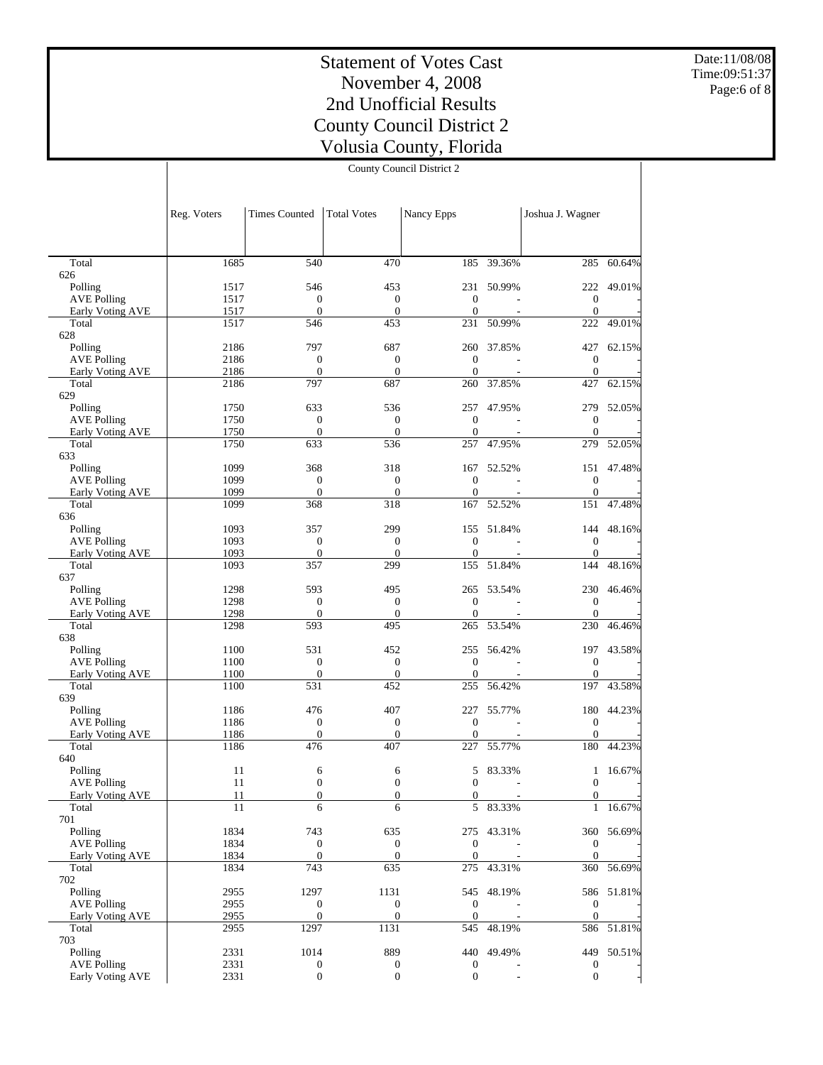Date:11/08/08 Time:09:51:37 Page:6 of 8

| County Council District 2 |  |
|---------------------------|--|
|---------------------------|--|

|                                               | Reg. Voters  | <b>Times Counted</b>             | <b>Total Votes</b>                   | Nancy Epps          |                          | Joshua J. Wagner                   |            |
|-----------------------------------------------|--------------|----------------------------------|--------------------------------------|---------------------|--------------------------|------------------------------------|------------|
|                                               |              |                                  |                                      |                     |                          |                                    |            |
|                                               |              |                                  |                                      |                     |                          |                                    |            |
| Total<br>626                                  | 1685         | 540                              | 470                                  | 185                 | $-39.36%$                | 285                                | 60.64%     |
| Polling                                       | 1517         | 546                              | 453                                  |                     | 231 50.99%               | 222                                | 49.01%     |
| <b>AVE Polling</b>                            | 1517         | $\theta$                         | $\boldsymbol{0}$                     | $\theta$            |                          | $\mathbf{0}$                       |            |
| Early Voting AVE                              | 1517         | $\theta$                         | $\theta$                             | $\theta$            |                          | $\mathbf{0}$                       |            |
| Total                                         | 1517         | 546                              | 453                                  | 231                 | 50.99%                   | 222                                | 49.01%     |
| 628                                           |              | 797                              | 687                                  |                     | 260 37.85%               |                                    |            |
| Polling<br><b>AVE Polling</b>                 | 2186<br>2186 | $\mathbf{0}$                     | $\mathbf{0}$                         | $\mathbf{0}$        |                          | 427<br>$\mathbf{0}$                | 62.15%     |
| Early Voting AVE                              | 2186         | $\boldsymbol{0}$                 | $\mathbf{0}$                         | $\mathbf{0}$        |                          | $\overline{0}$                     |            |
| Total                                         | 2186         | 797                              | 687                                  | 260                 | 37.85%                   | 427                                | 62.15%     |
| 629                                           |              |                                  |                                      |                     |                          |                                    |            |
| Polling                                       | 1750         | 633                              | 536                                  |                     | 257 47.95%               |                                    | 279 52.05% |
| <b>AVE Polling</b>                            | 1750         | $\mathbf{0}$                     | $\boldsymbol{0}$                     | $\theta$            |                          | $\mathbf{0}$                       |            |
| Early Voting AVE                              | 1750         | $\mathbf{0}$                     | $\theta$                             | $\theta$            | $\sim$                   | $\overline{0}$                     |            |
| Total                                         | 1750         | 633                              | 536                                  | 257                 | 47.95%                   | 279                                | 52.05%     |
| 633                                           |              |                                  |                                      |                     |                          |                                    |            |
| Polling                                       | 1099         | 368<br>$\mathbf{0}$              | 318                                  | 167<br>$\mathbf{0}$ | 52.52%                   | 151                                | 47.48%     |
| <b>AVE Polling</b><br><b>Early Voting AVE</b> | 1099<br>1099 | $\theta$                         | $\mathbf{0}$<br>$\mathbf{0}$         | $\theta$            |                          | $\boldsymbol{0}$<br>$\overline{0}$ |            |
| Total                                         | 1099         | 368                              | 318                                  | 167                 | 52.52%                   | 151                                | 47.48%     |
| 636                                           |              |                                  |                                      |                     |                          |                                    |            |
| Polling                                       | 1093         | 357                              | 299                                  |                     | 155 51.84%               | 144                                | 48.16%     |
| <b>AVE Polling</b>                            | 1093         | $\mathbf{0}$                     | $\mathbf{0}$                         | $\theta$            |                          | $\mathbf{0}$                       |            |
| Early Voting AVE                              | 1093         | $\mathbf{0}$                     | $\theta$                             | $\theta$            |                          | $\mathbf{0}$                       |            |
| Total                                         | 1093         | 357                              | 299                                  | 155                 | 51.84%                   | 144                                | 48.16%     |
| 637                                           |              |                                  |                                      |                     |                          |                                    |            |
| Polling                                       | 1298         | 593                              | 495                                  |                     | 265 53.54%               |                                    | 230 46.46% |
| <b>AVE Polling</b>                            | 1298         | $\mathbf{0}$                     | $\mathbf{0}$                         | $\mathbf{0}$        |                          | $\mathbf{0}$                       |            |
| Early Voting AVE                              | 1298         | $\boldsymbol{0}$                 | $\mathbf{0}$                         | $\mathbf{0}$        |                          | $\overline{0}$                     |            |
| Total                                         | 1298         | 593                              | 495                                  | 265                 | 53.54%                   | 230                                | 46.46%     |
| 638<br>Polling                                | 1100         | 531                              | 452                                  |                     | 255 56.42%               |                                    | 197 43.58% |
| <b>AVE Polling</b>                            | 1100         | $\mathbf{0}$                     | $\boldsymbol{0}$                     | $\theta$            |                          | $\overline{0}$                     |            |
| Early Voting AVE                              | 1100         | $\mathbf{0}$                     | $\mathbf{0}$                         | $\theta$            | $\overline{\phantom{a}}$ | $\overline{0}$                     |            |
| Total                                         | 1100         | 531                              | 452                                  | 255                 | 56.42%                   | 197                                | 43.58%     |
| 639                                           |              |                                  |                                      |                     |                          |                                    |            |
| Polling                                       | 1186         | 476                              | 407                                  | 227                 | 55.77%                   | 180                                | 44.23%     |
| <b>AVE Polling</b>                            | 1186         | $\boldsymbol{0}$                 | $\boldsymbol{0}$                     | $\mathbf{0}$        | $\overline{\phantom{a}}$ | $\mathbf{0}$                       |            |
| Early Voting AVE                              | 1186         | $\mathbf{0}$                     | $\mathbf{0}$                         | $\theta$            |                          | $\overline{0}$                     |            |
| Total                                         | 1186         | 476                              | 407                                  | 227                 | 55.77%                   | 180                                | 44.23%     |
| 640                                           |              |                                  |                                      |                     |                          |                                    |            |
| Polling                                       | 11           | 6                                | 6                                    | 5                   | 83.33%                   | $\mathbf{1}$                       | 16.67%     |
| <b>AVE Polling</b>                            | 11           | $\mathbf{0}$                     | $\mathbf{0}$                         | $\theta$            | $\overline{a}$           | $\mathbf{0}$                       |            |
| Early Voting AVE<br>Total                     | 11<br>11     | $\boldsymbol{0}$<br>6            | $\boldsymbol{0}$<br>6                | 0<br>5              | 83.33%                   | 0<br>$\mathbf{1}$                  | 16.67%     |
| 701                                           |              |                                  |                                      |                     |                          |                                    |            |
| Polling                                       | 1834         | 743                              | 635                                  |                     | 275 43.31%               |                                    | 360 56.69% |
| <b>AVE Polling</b>                            | 1834         | $\boldsymbol{0}$                 | $\boldsymbol{0}$                     | $\boldsymbol{0}$    |                          | $\overline{0}$                     |            |
| Early Voting AVE                              | 1834         | $\mathbf{0}$                     | $\mathbf{0}$                         | $\theta$            |                          | $\overline{0}$                     |            |
| Total                                         | 1834         | 743                              | 635                                  | 275                 | 43.31%                   |                                    | 360 56.69% |
| 702                                           |              |                                  |                                      |                     |                          |                                    |            |
| Polling                                       | 2955         | 1297                             | 1131                                 |                     | 545 48.19%               |                                    | 586 51.81% |
| <b>AVE Polling</b>                            | 2955         | $\boldsymbol{0}$                 | $\boldsymbol{0}$                     | $\mathbf{0}$        |                          | $\overline{0}$                     |            |
| Early Voting AVE                              | 2955         | $\boldsymbol{0}$                 | $\boldsymbol{0}$                     | $\mathbf{0}$        |                          | $\mathbf{0}$                       |            |
| Total                                         | 2955         | 1297                             | 1131                                 |                     | 545 48.19%               |                                    | 586 51.81% |
| 703                                           |              |                                  |                                      |                     |                          |                                    | 449 50.51% |
| Polling<br><b>AVE Polling</b>                 | 2331<br>2331 | 1014                             | 889                                  | $\mathbf{0}$        | 440 49.49%               | 0                                  |            |
| Early Voting AVE                              | 2331         | $\boldsymbol{0}$<br>$\mathbf{0}$ | $\boldsymbol{0}$<br>$\boldsymbol{0}$ | $\mathbf{0}$        |                          | $\mathbf{0}$                       |            |
|                                               |              |                                  |                                      |                     |                          |                                    |            |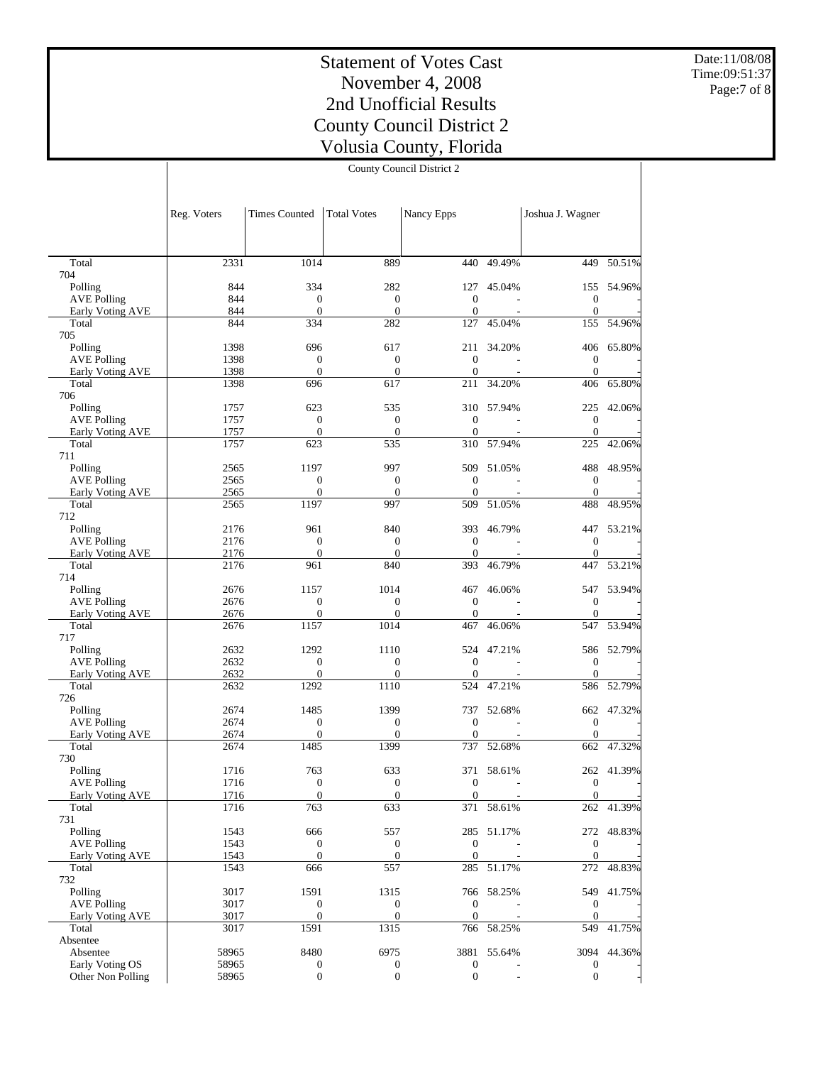Date:11/08/08 Time:09:51:37 Page:7 of 8

# Statement of Votes Cast November 4, 2008 2nd Unofficial Results County Council District 2 Volusia County, Florida

County Council District 2

|                                        | Reg. Voters  | <b>Times Counted</b>                 | <b>Total Votes</b>             | Nancy Epps                       |                 | Joshua J. Wagner                 |             |
|----------------------------------------|--------------|--------------------------------------|--------------------------------|----------------------------------|-----------------|----------------------------------|-------------|
|                                        |              |                                      |                                |                                  |                 |                                  |             |
| Total                                  | 2331         | 1014                                 | 889                            |                                  | $440 - 49.49\%$ | 449                              | 50.51%      |
| 704                                    |              |                                      |                                |                                  |                 |                                  |             |
| Polling                                | 844          | 334                                  | 282                            |                                  | 127 45.04%      | 155                              | 54.96%      |
| <b>AVE Polling</b>                     | 844<br>844   | $\mathbf{0}$                         | $\mathbf{0}$<br>$\overline{0}$ | $\theta$                         | $\sim$          | $\mathbf{0}$<br>$\theta$         |             |
| Early Voting AVE<br>Total              | 844          | $\boldsymbol{0}$<br>334              | 282                            | $\mathbf{0}$<br>127              | 45.04%          | 155                              | 54.96%      |
| 705                                    |              |                                      |                                |                                  |                 |                                  |             |
| Polling                                | 1398         | 696                                  | 617                            |                                  | 211 34.20%      |                                  | 406 65.80%  |
| <b>AVE Polling</b>                     | 1398         | $\mathbf{0}$                         | $\mathbf{0}$                   | $\overline{0}$                   |                 | $\overline{0}$                   |             |
| Early Voting AVE                       | 1398         | $\mathbf{0}$                         | $\mathbf{0}$                   | $\mathbf{0}$                     |                 | $\overline{0}$                   |             |
| Total                                  | 1398         | 696                                  | 617                            | 211                              | 34.20%          | 406                              | 65.80%      |
| 706                                    |              |                                      |                                |                                  |                 |                                  |             |
| Polling                                | 1757         | 623                                  | 535                            |                                  | 310 57.94%      | 225                              | 42.06%      |
| <b>AVE Polling</b><br>Early Voting AVE | 1757<br>1757 | $\boldsymbol{0}$<br>$\boldsymbol{0}$ | $\mathbf{0}$<br>$\mathbf{0}$   | $\overline{0}$<br>$\overline{0}$ |                 | $\overline{0}$<br>$\overline{0}$ |             |
| Total                                  | 1757         | 623                                  | 535                            | 310                              | 57.94%          | 225                              | 42.06%      |
| 711                                    |              |                                      |                                |                                  |                 |                                  |             |
| Polling                                | 2565         | 1197                                 | 997                            | 509                              | 51.05%          | 488                              | 48.95%      |
| <b>AVE Polling</b>                     | 2565         | $\boldsymbol{0}$                     | $\boldsymbol{0}$               | $\theta$                         |                 | $\mathbf{0}$                     |             |
| Early Voting AVE                       | 2565         | $\mathbf{0}$                         | $\mathbf{0}$                   | $\overline{0}$                   |                 | $\overline{0}$                   |             |
| Total                                  | 2565         | 1197                                 | 997                            | 509                              | 51.05%          | 488                              | 48.95%      |
| 712                                    |              |                                      |                                |                                  |                 |                                  |             |
| Polling                                | 2176         | 961                                  | 840                            |                                  | 393 46.79%      | 447                              | 53.21%      |
| <b>AVE Polling</b>                     | 2176         | $\boldsymbol{0}$                     | $\mathbf{0}$                   | $\theta$                         |                 | $\boldsymbol{0}$                 |             |
| Early Voting AVE<br>Total              | 2176<br>2176 | $\boldsymbol{0}$<br>961              | $\mathbf{0}$<br>840            | $\overline{0}$<br>393            | 46.79%          | $\mathbf{0}$<br>447              | 53.21%      |
| 714                                    |              |                                      |                                |                                  |                 |                                  |             |
| Polling                                | 2676         | 1157                                 | 1014                           | 467                              | 46.06%          |                                  | 547 53.94%  |
| <b>AVE Polling</b>                     | 2676         | $\mathbf{0}$                         | $\mathbf{0}$                   | $\theta$                         |                 | $\overline{0}$                   |             |
| Early Voting AVE                       | 2676         | $\boldsymbol{0}$                     | $\mathbf{0}$                   | $\mathbf{0}$                     |                 | $\overline{0}$                   |             |
| Total                                  | 2676         | 1157                                 | 1014                           | 467                              | 46.06%          | 547                              | 53.94%      |
| 717                                    |              |                                      |                                |                                  |                 |                                  |             |
| Polling                                | 2632         | 1292                                 | 1110                           |                                  | 524 47.21%      |                                  | 586 52.79%  |
| <b>AVE Polling</b>                     | 2632         | $\boldsymbol{0}$                     | $\mathbf{0}$                   | $\overline{0}$                   |                 | $\overline{0}$                   |             |
| Early Voting AVE                       | 2632         | $\boldsymbol{0}$                     | $\mathbf{0}$                   | $\overline{0}$                   | $\sim$          | $\overline{0}$                   |             |
| Total<br>726                           | 2632         | 1292                                 | 1110                           | 524                              | 47.21%          | 586                              | 52.79%      |
| Polling                                | 2674         | 1485                                 | 1399                           | 737                              | 52.68%          |                                  | 662 47.32%  |
| <b>AVE Polling</b>                     | 2674         | $\boldsymbol{0}$                     | $\mathbf{0}$                   | $\overline{0}$                   | $\sim$          | $\overline{0}$                   |             |
| Early Voting AVE                       | 2674         | $\mathbf{0}$                         | $\mathbf{0}$                   | $\mathbf{0}$                     |                 | $\overline{0}$                   |             |
| Total                                  | 2674         | 1485                                 | 1399                           | 737                              | 52.68%          | 662                              | 47.32%      |
| 730                                    |              |                                      |                                |                                  |                 |                                  |             |
| Polling                                | 1716         | 763                                  | 633                            |                                  | 371 58.61%      |                                  | 262 41.39%  |
| <b>AVE Polling</b>                     | 1716         | $\boldsymbol{0}$                     | $\mathbf{0}$                   | $\overline{0}$                   |                 | $\overline{0}$                   |             |
| Early Voting AVE                       | 1716         | $\mathbf{0}$                         | $\boldsymbol{0}$               | $\bf{0}$                         |                 | $\overline{0}$                   |             |
| Total                                  | 1716         | 763                                  | 633                            | 371                              | 58.61%          |                                  | 262 41.39%  |
| 731<br>Polling                         | 1543         | 666                                  | 557                            |                                  | 285 51.17%      |                                  | 272 48.83%  |
| <b>AVE Polling</b>                     | 1543         | $\boldsymbol{0}$                     | $\boldsymbol{0}$               | $\mathbf{0}$                     |                 | $\boldsymbol{0}$                 |             |
| Early Voting AVE                       | 1543         | $\boldsymbol{0}$                     | $\mathbf{0}$                   | $\mathbf{0}$                     |                 | $\overline{0}$                   |             |
| Total                                  | 1543         | 666                                  | 557                            | 285                              | 51.17%          | 272                              | 48.83%      |
| 732                                    |              |                                      |                                |                                  |                 |                                  |             |
| Polling                                | 3017         | 1591                                 | 1315                           |                                  | 766 58.25%      | 549                              | 41.75%      |
| <b>AVE Polling</b>                     | 3017         | $\boldsymbol{0}$                     | $\boldsymbol{0}$               | $\mathbf{0}$                     |                 | $\overline{0}$                   |             |
| Early Voting AVE                       | 3017         | $\boldsymbol{0}$                     | $\boldsymbol{0}$               | $\overline{0}$                   |                 | $\mathbf{0}$                     |             |
| Total                                  | 3017         | 1591                                 | 1315                           |                                  | 766 58.25%      | 549                              | 41.75%      |
| Absentee                               |              |                                      |                                |                                  |                 |                                  |             |
| Absentee                               | 58965        | 8480                                 | 6975                           |                                  | 3881 55.64%     |                                  | 3094 44.36% |
| Early Voting OS                        | 58965        | $\boldsymbol{0}$                     | $\boldsymbol{0}$               | $\boldsymbol{0}$                 |                 | 0                                |             |
| Other Non Polling                      | 58965        | $\boldsymbol{0}$                     | $\mathbf{0}$                   | $\mathbf{0}$                     |                 | $\overline{0}$                   |             |